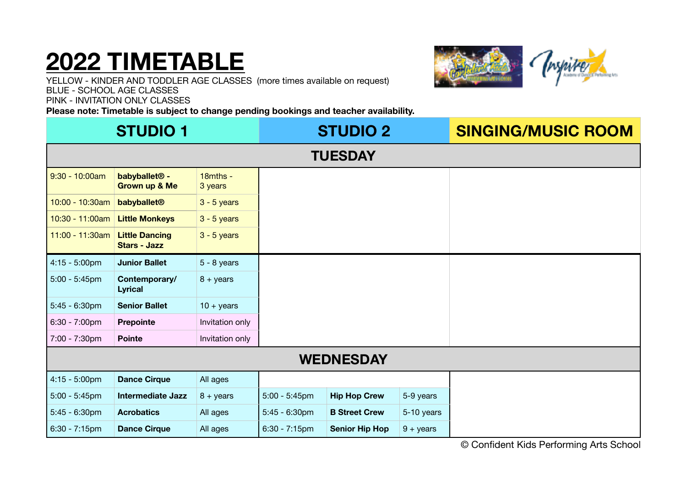# **2022 TIMETABLE**



YELLOW - KINDER AND TODDLER AGE CLASSES (more times available on request) BLUE - SCHOOL AGE CLASSES PINK - INVITATION ONLY CLASSES

**Please note: Timetable is subject to change pending bookings and teacher availability.** 

| <b>STUDIO 1</b>  |                                                       |                        | <b>STUDIO 2</b>  |                       |             | <b>SINGING/MUSIC ROOM</b> |
|------------------|-------------------------------------------------------|------------------------|------------------|-----------------------|-------------|---------------------------|
| <b>TUESDAY</b>   |                                                       |                        |                  |                       |             |                           |
| $9:30 - 10:00am$ | babyballet <sup>®</sup> -<br><b>Grown up &amp; Me</b> | $18$ mths -<br>3 years |                  |                       |             |                           |
| 10:00 - 10:30am  | babyballet <sup>®</sup>                               | $3 - 5$ years          |                  |                       |             |                           |
| 10:30 - 11:00am  | <b>Little Monkeys</b>                                 | $3 - 5$ years          |                  |                       |             |                           |
| 11:00 - 11:30am  | <b>Little Dancing</b><br><b>Stars - Jazz</b>          | $3 - 5$ years          |                  |                       |             |                           |
| $4:15 - 5:00$ pm | <b>Junior Ballet</b>                                  | $5 - 8$ years          |                  |                       |             |                           |
| $5:00 - 5:45$ pm | Contemporary/<br><b>Lyrical</b>                       | $8 + \text{years}$     |                  |                       |             |                           |
| $5:45 - 6:30$ pm | <b>Senior Ballet</b>                                  | $10 + \text{years}$    |                  |                       |             |                           |
| 6:30 - 7:00pm    | <b>Prepointe</b>                                      | Invitation only        |                  |                       |             |                           |
| 7:00 - 7:30pm    | <b>Pointe</b>                                         | Invitation only        |                  |                       |             |                           |
| <b>WEDNESDAY</b> |                                                       |                        |                  |                       |             |                           |
| $4:15 - 5:00$ pm | <b>Dance Cirque</b>                                   | All ages               |                  |                       |             |                           |
| $5:00 - 5:45$ pm | <b>Intermediate Jazz</b>                              | $8 + \text{years}$     | $5:00 - 5:45$ pm | <b>Hip Hop Crew</b>   | 5-9 years   |                           |
| $5:45 - 6:30$ pm | <b>Acrobatics</b>                                     | All ages               | $5:45 - 6:30$ pm | <b>B Street Crew</b>  | 5-10 years  |                           |
| $6:30 - 7:15$ pm | <b>Dance Cirque</b>                                   | All ages               | $6:30 - 7:15$ pm | <b>Senior Hip Hop</b> | $9 + years$ |                           |

© Confident Kids Performing Arts School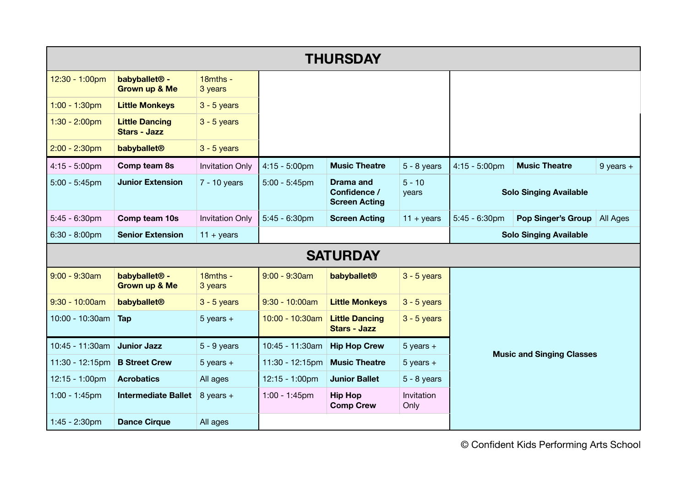| <b>THURSDAY</b>          |                                                       |                        |                         |                                                          |                     |                                  |                           |               |
|--------------------------|-------------------------------------------------------|------------------------|-------------------------|----------------------------------------------------------|---------------------|----------------------------------|---------------------------|---------------|
| 12:30 - 1:00pm           | babyballet <sup>®</sup> -<br><b>Grown up &amp; Me</b> | 18mths -<br>3 years    |                         |                                                          |                     |                                  |                           |               |
| $1:00 - 1:30$ pm         | <b>Little Monkeys</b>                                 | $3 - 5$ years          |                         |                                                          |                     |                                  |                           |               |
| $1:30 - 2:00$ pm         | <b>Little Dancing</b><br><b>Stars - Jazz</b>          | $3 - 5$ years          |                         |                                                          |                     |                                  |                           |               |
| $2:00 - 2:30$ pm         | babyballet <sup>®</sup>                               | $3 - 5$ years          |                         |                                                          |                     |                                  |                           |               |
| $4:15 - 5:00 \text{pm}$  | Comp team 8s                                          | <b>Invitation Only</b> | $4:15 - 5:00 \text{pm}$ | <b>Music Theatre</b>                                     | $5 - 8$ years       | $4:15 - 5:00$ pm                 | <b>Music Theatre</b>      | $9$ years $+$ |
| $5:00 - 5:45$ pm         | <b>Junior Extension</b>                               | $7 - 10$ years         | $5:00 - 5:45$ pm        | <b>Drama and</b><br>Confidence /<br><b>Screen Acting</b> | $5 - 10$<br>years   | <b>Solo Singing Available</b>    |                           |               |
| $5:45 - 6:30$ pm         | Comp team 10s                                         | <b>Invitation Only</b> | $5:45 - 6:30$ pm        | <b>Screen Acting</b>                                     | $11 + \text{years}$ | $5:45 - 6:30$ pm                 | <b>Pop Singer's Group</b> | All Ages      |
| $6:30 - 8:00$ pm         | <b>Senior Extension</b>                               | $11 + years$           |                         |                                                          |                     | <b>Solo Singing Available</b>    |                           |               |
| <b>SATURDAY</b>          |                                                       |                        |                         |                                                          |                     |                                  |                           |               |
| $9:00 - 9:30am$          | babyballet <sup>®</sup> -<br><b>Grown up &amp; Me</b> | 18mths -<br>3 years    | $9:00 - 9:30am$         | babyballet <sup>®</sup>                                  | $3 - 5$ years       |                                  |                           |               |
| $9:30 - 10:00am$         | babyballet <sup>®</sup>                               | $3 - 5$ years          | $9:30 - 10:00am$        | <b>Little Monkeys</b>                                    | $3 - 5$ years       | <b>Music and Singing Classes</b> |                           |               |
| 10:00 - 10:30am          | Tap                                                   | $5$ years $+$          | 10:00 - 10:30am         | <b>Little Dancing</b><br><b>Stars - Jazz</b>             | $3 - 5$ years       |                                  |                           |               |
| 10:45 - 11:30am          | <b>Junior Jazz</b>                                    | $5 - 9$ years          | 10:45 - 11:30am         | <b>Hip Hop Crew</b>                                      | $5$ years $+$       |                                  |                           |               |
| 11:30 - 12:15pm          | <b>B Street Crew</b>                                  | $5$ years $+$          | 11:30 - 12:15pm         | <b>Music Theatre</b>                                     | $5$ years $+$       |                                  |                           |               |
| $12:15 - 1:00 \text{pm}$ | <b>Acrobatics</b>                                     | All ages               | $12:15 - 1:00$ pm       | <b>Junior Ballet</b>                                     | $5 - 8$ years       |                                  |                           |               |
| $1:00 - 1:45$ pm         | <b>Intermediate Ballet</b>                            | 8 years $+$            | $1:00 - 1:45$ pm        | <b>Hip Hop</b><br><b>Comp Crew</b>                       | Invitation<br>Only  |                                  |                           |               |
| 1:45 - 2:30pm            | <b>Dance Cirque</b>                                   | All ages               |                         |                                                          |                     |                                  |                           |               |

© Confident Kids Performing Arts School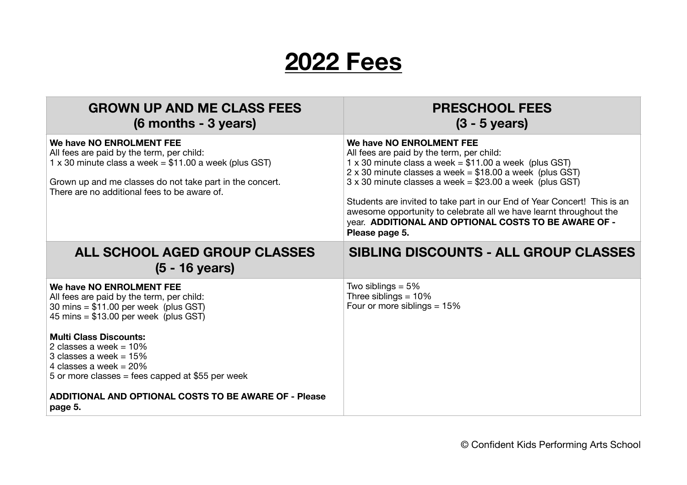### **2022 Fees**

| <b>GROWN UP AND ME CLASS FEES</b><br>(6 months - 3 years)                                                                                                                                                                                                                                                                                                                                                        | <b>PRESCHOOL FEES</b><br>$(3 - 5$ years)                                                                                                                                                                                                                                                                                                                                                                                                                                                           |
|------------------------------------------------------------------------------------------------------------------------------------------------------------------------------------------------------------------------------------------------------------------------------------------------------------------------------------------------------------------------------------------------------------------|----------------------------------------------------------------------------------------------------------------------------------------------------------------------------------------------------------------------------------------------------------------------------------------------------------------------------------------------------------------------------------------------------------------------------------------------------------------------------------------------------|
| We have NO ENROLMENT FEE<br>All fees are paid by the term, per child:<br>1 x 30 minute class a week = $$11.00$ a week (plus GST)<br>Grown up and me classes do not take part in the concert.<br>There are no additional fees to be aware of.                                                                                                                                                                     | We have NO ENROLMENT FEE<br>All fees are paid by the term, per child:<br>1 x 30 minute class a week = $$11.00$ a week (plus GST)<br>$2 \times 30$ minute classes a week = \$18.00 a week (plus GST)<br>$3 \times 30$ minute classes a week = \$23.00 a week (plus GST)<br>Students are invited to take part in our End of Year Concert! This is an<br>awesome opportunity to celebrate all we have learnt throughout the<br>year. ADDITIONAL AND OPTIONAL COSTS TO BE AWARE OF -<br>Please page 5. |
| ALL SCHOOL AGED GROUP CLASSES<br>$(5 - 16$ years)                                                                                                                                                                                                                                                                                                                                                                | SIBLING DISCOUNTS - ALL GROUP CLASSES                                                                                                                                                                                                                                                                                                                                                                                                                                                              |
| We have NO ENROLMENT FEE<br>All fees are paid by the term, per child:<br>30 mins = $$11.00$ per week (plus GST)<br>45 mins = $$13.00$ per week (plus GST)<br><b>Multi Class Discounts:</b><br>2 classes a week = $10\%$<br>3 classes a week = $15%$<br>4 classes a week = $20\%$<br>5 or more classes = fees capped at $$55$ per week<br><b>ADDITIONAL AND OPTIONAL COSTS TO BE AWARE OF - Please</b><br>page 5. | Two siblings $= 5\%$<br>Three siblings = $10\%$<br>Four or more siblings $= 15\%$                                                                                                                                                                                                                                                                                                                                                                                                                  |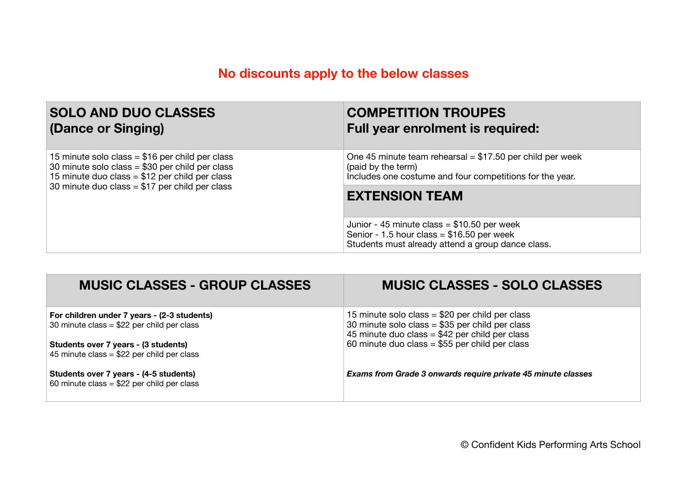### **No discounts apply to the below classes**

| <b>SOLO AND DUO CLASSES</b>                      | <b>COMPETITION TROUPES</b>                                                                                                                       |  |
|--------------------------------------------------|--------------------------------------------------------------------------------------------------------------------------------------------------|--|
| (Dance or Singing)                               | <b>Full year enrolment is required:</b>                                                                                                          |  |
| 15 minute solo class = $$16$ per child per class | One 45 minute team rehearsal = $$17.50$ per child per week                                                                                       |  |
| 30 minute solo class = $$30$ per child per class | (paid by the term)                                                                                                                               |  |
| 15 minute duo class = $$12$ per child per class  | Includes one costume and four competitions for the year.                                                                                         |  |
| 30 minute duo class = $$17$ per child per class  | <b>EXTENSION TEAM</b>                                                                                                                            |  |
|                                                  | Junior - 45 minute class = $$10.50$ per week<br>Senior - 1.5 hour class = $$16.50$ per week<br>Students must already attend a group dance class. |  |

| <b>MUSIC CLASSES - GROUP CLASSES</b>        | <b>MUSIC CLASSES - SOLO CLASSES</b>                          |
|---------------------------------------------|--------------------------------------------------------------|
| For children under 7 years - (2-3 students) | 15 minute solo class = $$20$ per child per class             |
| 30 minute class = $$22$ per child per class | 30 minute solo class = $$35$ per child per class             |
|                                             | 45 minute duo class = $$42$ per child per class              |
| Students over 7 years - (3 students)        | 60 minute duo class = $$55$ per child per class              |
| 45 minute class = $$22$ per child per class |                                                              |
| Students over 7 years - (4-5 students)      | Exams from Grade 3 onwards require private 45 minute classes |
| 60 minute class = $$22$ per child per class |                                                              |
|                                             |                                                              |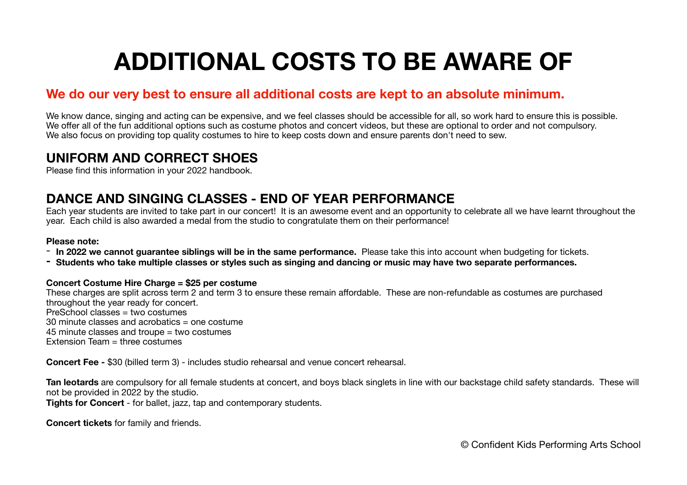## **ADDITIONAL COSTS TO BE AWARE OF**

#### **We do our very best to ensure all additional costs are kept to an absolute minimum.**

We know dance, singing and acting can be expensive, and we feel classes should be accessible for all, so work hard to ensure this is possible. We offer all of the fun additional options such as costume photos and concert videos, but these are optional to order and not compulsory. We also focus on providing top quality costumes to hire to keep costs down and ensure parents don't need to sew.

#### **UNIFORM AND CORRECT SHOES**

Please find this information in your 2022 handbook.

#### **DANCE AND SINGING CLASSES - END OF YEAR PERFORMANCE**

Each year students are invited to take part in our concert! It is an awesome event and an opportunity to celebrate all we have learnt throughout the year. Each child is also awarded a medal from the studio to congratulate them on their performance!

#### **Please note:**

- **In 2022 we cannot guarantee siblings will be in the same performance.** Please take this into account when budgeting for tickets.
- **- Students who take multiple classes or styles such as singing and dancing or music may have two separate performances.**

#### **Concert Costume Hire Charge = \$25 per costume**

These charges are split across term 2 and term 3 to ensure these remain affordable. These are non-refundable as costumes are purchased throughout the year ready for concert. PreSchool classes = two costumes 30 minute classes and acrobatics = one costume 45 minute classes and troupe = two costumes Extension Team = three costumes

**Concert Fee -** \$30 (billed term 3) - includes studio rehearsal and venue concert rehearsal.

**Tan leotards** are compulsory for all female students at concert, and boys black singlets in line with our backstage child safety standards. These will not be provided in 2022 by the studio.

**Tights for Concert** - for ballet, jazz, tap and contemporary students.

**Concert tickets** for family and friends.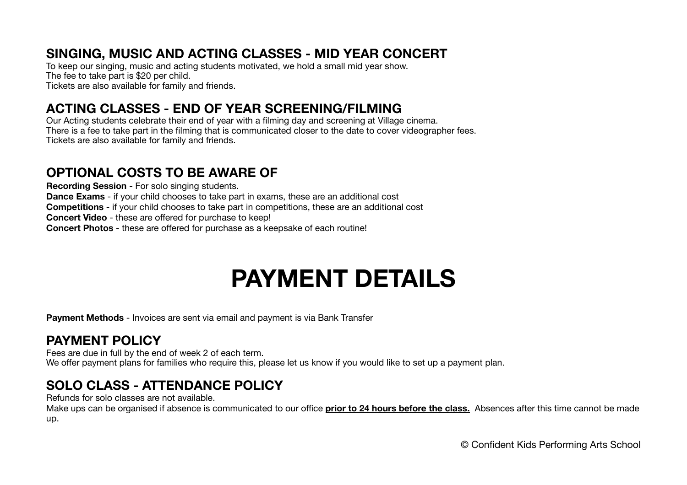#### **SINGING, MUSIC AND ACTING CLASSES - MID YEAR CONCERT**

To keep our singing, music and acting students motivated, we hold a small mid year show. The fee to take part is \$20 per child. Tickets are also available for family and friends.

#### **ACTING CLASSES - END OF YEAR SCREENING/FILMING**

Our Acting students celebrate their end of year with a filming day and screening at Village cinema. There is a fee to take part in the filming that is communicated closer to the date to cover videographer fees. Tickets are also available for family and friends.

#### **OPTIONAL COSTS TO BE AWARE OF**

**Recording Session -** For solo singing students. **Dance Exams** - if your child chooses to take part in exams, these are an additional cost **Competitions** - if your child chooses to take part in competitions, these are an additional cost **Concert Video** - these are offered for purchase to keep! **Concert Photos** - these are offered for purchase as a keepsake of each routine!

### **PAYMENT DETAILS**

**Payment Methods** - Invoices are sent via email and payment is via Bank Transfer

#### **PAYMENT POLICY**

Fees are due in full by the end of week 2 of each term. We offer payment plans for families who require this, please let us know if you would like to set up a payment plan.

### **SOLO CLASS - ATTENDANCE POLICY**

Refunds for solo classes are not available.

Make ups can be organised if absence is communicated to our office **prior to 24 hours before the class.** Absences after this time cannot be made up.